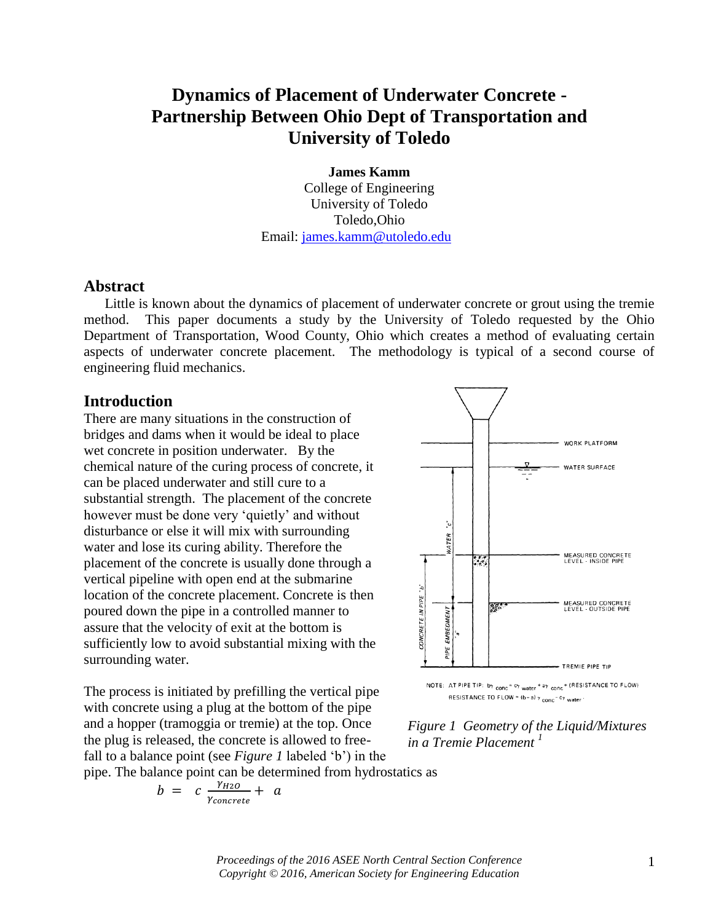# **Dynamics of Placement of Underwater Concrete - Partnership Between Ohio Dept of Transportation and University of Toledo**

**James Kamm** College of Engineering University of Toledo Toledo,Ohio Email: [james.kamm@utoledo.edu](mailto:james.kamm@utoledo.edu)

#### **Abstract**

Little is known about the dynamics of placement of underwater concrete or grout using the tremie method. This paper documents a study by the University of Toledo requested by the Ohio Department of Transportation, Wood County, Ohio which creates a method of evaluating certain aspects of underwater concrete placement. The methodology is typical of a second course of engineering fluid mechanics.

#### **Introduction**

There are many situations in the construction of bridges and dams when it would be ideal to place wet concrete in position underwater. By the chemical nature of the curing process of concrete, it can be placed underwater and still cure to a substantial strength. The placement of the concrete however must be done very 'quietly' and without disturbance or else it will mix with surrounding water and lose its curing ability. Therefore the placement of the concrete is usually done through a vertical pipeline with open end at the submarine location of the concrete placement. Concrete is then poured down the pipe in a controlled manner to assure that the velocity of exit at the bottom is sufficiently low to avoid substantial mixing with the surrounding water.

The process is initiated by prefilling the vertical pipe with concrete using a plug at the bottom of the pipe and a hopper (tramoggia or tremie) at the top. Once the plug is released, the concrete is allowed to freefall to a balance point (see *Figure 1* labeled 'b') in the pipe. The balance point can be determined from hydrostatics as

$$
b = c \frac{\gamma_{H2O}}{\gamma_{concrete}} + a
$$

**WORK PLATFORM** WATER SURFACE نې<br>و **NATER** MEASURED CONCRETE<br>LEVEL : INSIDE PIPE  $\frac{1}{2}$ CONCRETE IN PIPE "b" MEASURED CONCRETE<br>LEVEL - OUTSIDE PIPE  $\overline{\mathcal{C}}$ PIPE EMBEDMENT TREMIE PIPE TIP NOTE: AT PIPE TIP: by conc<sup>2</sup> cy water <sup>+ ay</sup> conc<sup>+</sup> (RESISTANCE TO FLOW)

RESISTANCE TO FLOW =  $(b-a)$   $\gamma$  conc<sup>- C</sup> $\gamma$  water

*Figure 1 Geometry of the Liquid/Mixtures in a Tremie Placement <sup>1</sup>*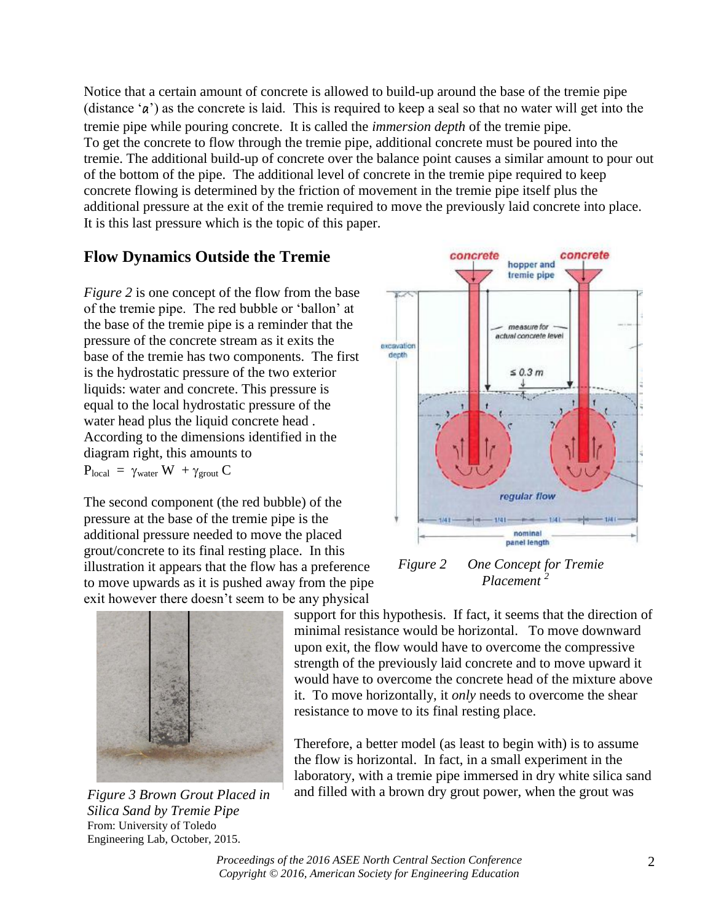Notice that a certain amount of concrete is allowed to build-up around the base of the tremie pipe (distance 'a') as the concrete is laid. This is required to keep a seal so that no water will get into the tremie pipe while pouring concrete. It is called the *immersion depth* of the tremie pipe. To get the concrete to flow through the tremie pipe, additional concrete must be poured into the tremie. The additional build-up of concrete over the balance point causes a similar amount to pour out of the bottom of the pipe. The additional level of concrete in the tremie pipe required to keep concrete flowing is determined by the friction of movement in the tremie pipe itself plus the additional pressure at the exit of the tremie required to move the previously laid concrete into place. It is this last pressure which is the topic of this paper.

## **Flow Dynamics Outside the Tremie**

*Figure 2* is one concept of the flow from the base of the tremie pipe. The red bubble or 'ballon' at the base of the tremie pipe is a reminder that the pressure of the concrete stream as it exits the base of the tremie has two components. The first is the hydrostatic pressure of the two exterior liquids: water and concrete. This pressure is equal to the local hydrostatic pressure of the water head plus the liquid concrete head . According to the dimensions identified in the diagram right, this amounts to

 $P_{local} = \gamma_{water} W + \gamma_{growth} C$ 

The second component (the red bubble) of the pressure at the base of the tremie pipe is the additional pressure needed to move the placed grout/concrete to its final resting place. In this illustration it appears that the flow has a preference to move upwards as it is pushed away from the pipe exit however there doesn't seem to be any physical



*Figure 3 Brown Grout Placed in Silica Sand by Tremie Pipe*  From: University of Toledo Engineering Lab, October, 2015.



*Figure 2 One Concept for Tremie Placement <sup>2</sup>*

support for this hypothesis. If fact, it seems that the direction of minimal resistance would be horizontal. To move downward upon exit, the flow would have to overcome the compressive strength of the previously laid concrete and to move upward it would have to overcome the concrete head of the mixture above it. To move horizontally, it *only* needs to overcome the shear resistance to move to its final resting place.

Therefore, a better model (as least to begin with) is to assume the flow is horizontal. In fact, in a small experiment in the laboratory, with a tremie pipe immersed in dry white silica sand and filled with a brown dry grout power, when the grout was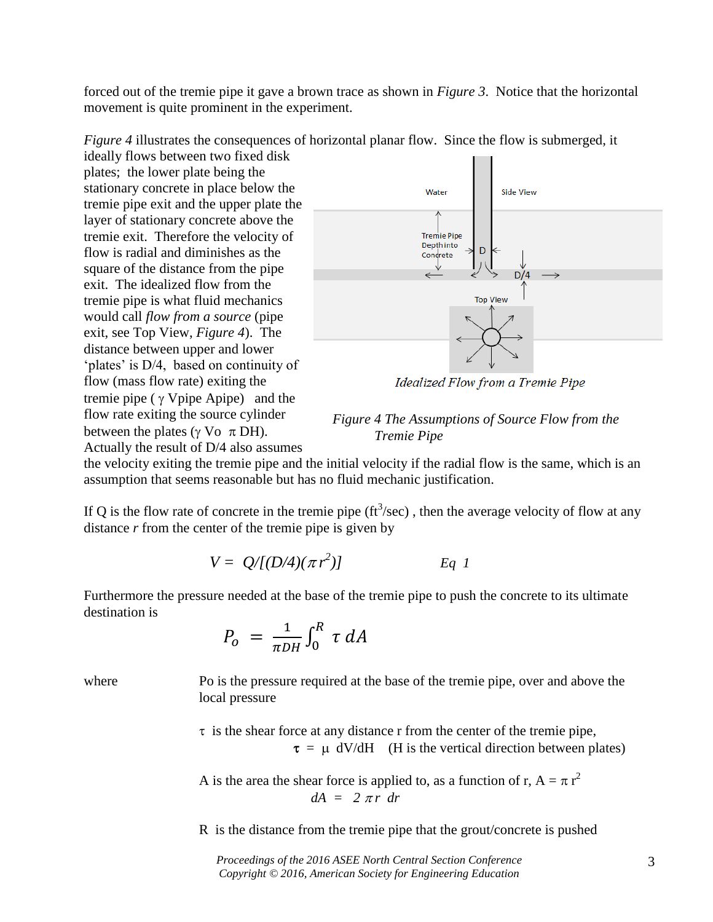forced out of the tremie pipe it gave a brown trace as shown in *Figure 3*. Notice that the horizontal movement is quite prominent in the experiment.

*Figure 4* illustrates the consequences of horizontal planar flow. Since the flow is submerged, it

ideally flows between two fixed disk plates; the lower plate being the stationary concrete in place below the tremie pipe exit and the upper plate the layer of stationary concrete above the tremie exit. Therefore the velocity of flow is radial and diminishes as the square of the distance from the pipe exit. The idealized flow from the tremie pipe is what fluid mechanics would call *flow from a source* (pipe exit, see Top View, *Figure 4*). The distance between upper and lower 'plates' is D/4, based on continuity of flow (mass flow rate) exiting the tremie pipe ( $\gamma$  Vpipe Apipe) and the flow rate exiting the source cylinder between the plates ( $\gamma$  Vo  $\pi$  DH). Actually the result of D/4 also assumes



Idealized Flow from a Tremie Pipe

*Figure 4 The Assumptions of Source Flow from the Tremie Pipe*

the velocity exiting the tremie pipe and the initial velocity if the radial flow is the same, which is an assumption that seems reasonable but has no fluid mechanic justification.

If Q is the flow rate of concrete in the tremie pipe ( $ft^3$ /sec), then the average velocity of flow at any distance *r* from the center of the tremie pipe is given by

$$
V = Q/[(D/4)(\pi r^2)] \qquad Eq \ 1
$$

Furthermore the pressure needed at the base of the tremie pipe to push the concrete to its ultimate destination is

$$
P_o = \frac{1}{\pi D H} \int_0^R \tau \, dA
$$

where Po is the pressure required at the base of the tremie pipe, over and above the local pressure

> $\tau$  is the shear force at any distance r from the center of the tremie pipe,  $\tau = \mu$  dV/dH (H is the vertical direction between plates)

A is the area the shear force is applied to, as a function of r,  $A = \pi r^2$  $dA = 2 \pi r dr$ 

R is the distance from the tremie pipe that the grout/concrete is pushed

*Proceedings of the 2016 ASEE North Central Section Conference Copyright © 2016, American Society for Engineering Education*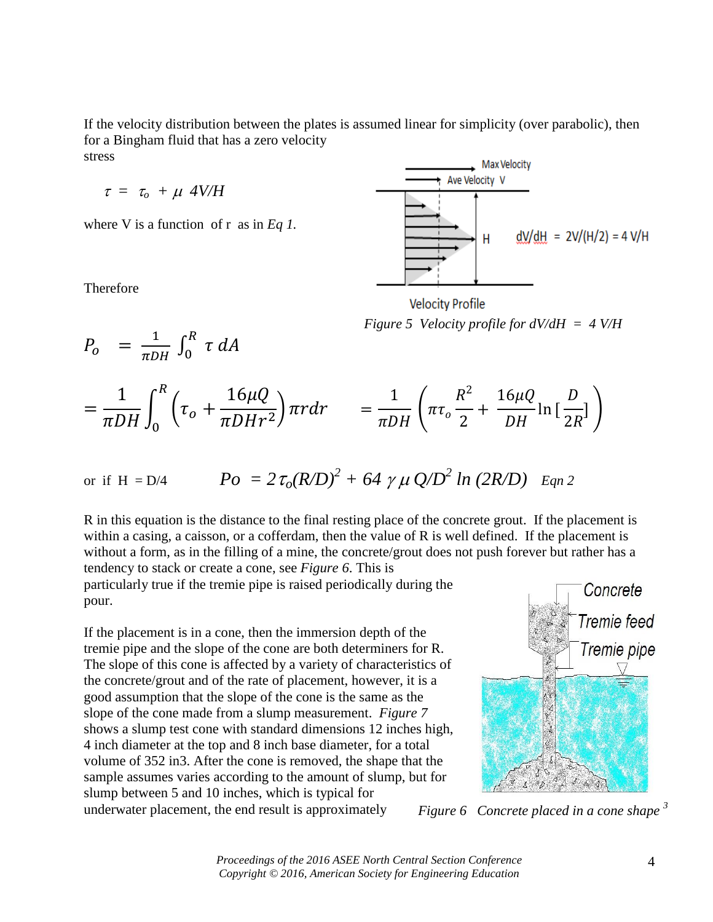If the velocity distribution between the plates is assumed linear for simplicity (over parabolic), then for a Bingham fluid that has a zero velocity stress

$$
\tau = \tau_o + \mu \, 4V/H
$$

 $P_o = \frac{1}{\pi D H} \int_0^R \tau \, dA$ 

where V is a function of r as in *Eq 1*.

Therefore



**Velocity Profile** *Figure 5 Velocity profile for dV/dH = 4 V/H*

$$
= \frac{1}{\pi DH} \int_0^R \left( \tau_o + \frac{16\mu Q}{\pi D H r^2} \right) \pi r dr = \frac{1}{\pi DH} \left( \pi \tau_o \frac{R^2}{2} + \frac{16\mu Q}{DH} \ln \left[ \frac{D}{2R} \right] \right)
$$

or if H = D/4 
$$
Po = 2 \tau_o (R/D)^2 + 64 \gamma \mu Q/D^2 ln (2R/D)
$$
 *Eqn 2*

R in this equation is the distance to the final resting place of the concrete grout. If the placement is within a casing, a caisson, or a cofferdam, then the value of R is well defined. If the placement is without a form, as in the filling of a mine, the concrete/grout does not push forever but rather has a tendency to stack or create a cone, see *Figure 6*. This is

particularly true if the tremie pipe is raised periodically during the pour.

If the placement is in a cone, then the immersion depth of the tremie pipe and the slope of the cone are both determiners for R. The slope of this cone is affected by a variety of characteristics of the concrete/grout and of the rate of placement, however, it is a good assumption that the slope of the cone is the same as the slope of the cone made from a slump measurement. *Figure 7* shows a slump test cone with standard dimensions 12 inches high, 4 inch diameter at the top and 8 inch base diameter, for a total volume of 352 in3. After the cone is removed, the shape that the sample assumes varies according to the amount of slump, but for slump between 5 and 10 inches, which is typical for underwater placement, the end result is approximately



*Figure 6 Concrete placed in a cone shape <sup>3</sup>* 

*Proceedings of the 2016 ASEE North Central Section Conference Copyright © 2016, American Society for Engineering Education*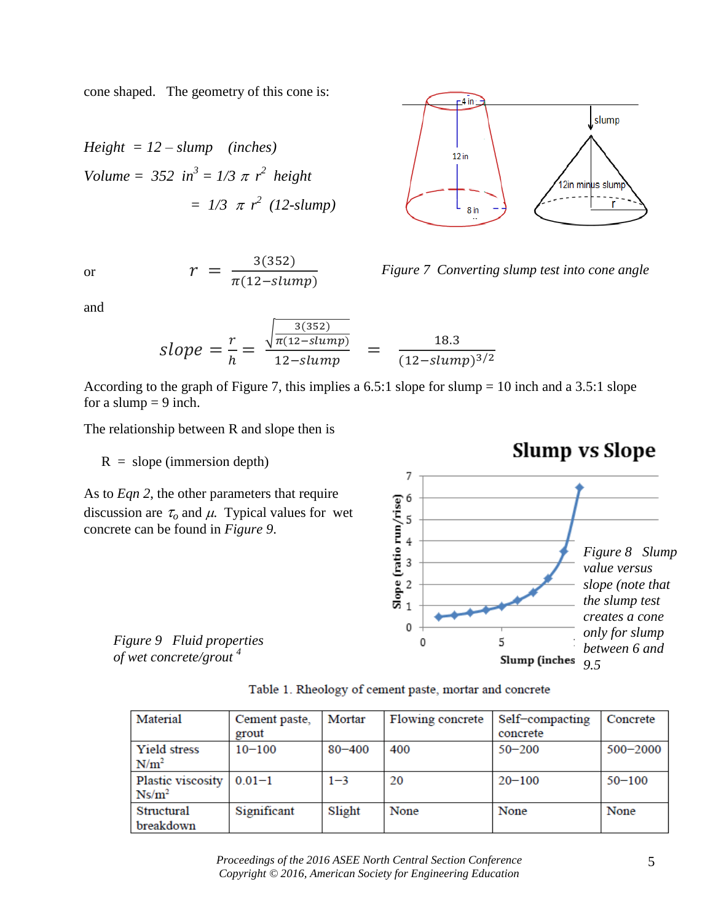cone shaped. The geometry of this cone is:

Height = 12 – slump (inches)  
Volume = 352 in<sup>3</sup> = 1/3 
$$
\pi
$$
 r<sup>2</sup> height  
= 1/3  $\pi$  r<sup>2</sup> (12-slump)

and

or 
$$
r = \frac{s(s32)}{\pi(12\text{-}slump)}
$$

 $\Gamma$ 2)



According to the graph of Figure 7, this implies a 6.5:1 slope for slump = 10 inch and a 3.5:1 slope for a slump  $= 9$  inch.

The relationship between R and slope then is

 $R = slope (immersion depth)$ 

As to *Eqn 2*, the other parameters that require discussion are  $\tau_o$  and  $\mu$ . Typical values for wet concrete can be found in *Figure 9*.

*Figure 9 Fluid properties of wet concrete/grout <sup>4</sup>*

|  |  | Table 1. Rheology of cement paste, mortar and concrete |
|--|--|--------------------------------------------------------|
|  |  |                                                        |

0

0

7 6

5

 $\begin{array}{ccc}\n\text{Slope (ratio run/rise)}\\
\text{or} & \text{or} & \text{or} & \text{or} \\
\text{or} & \text{or} & \text{or} & \text{or} \n\end{array}$ 

| Material          | Cement paste, | Mortar     | Flowing concrete | Self-compacting | Concrete     |
|-------------------|---------------|------------|------------------|-----------------|--------------|
|                   | grout         |            |                  | concrete        |              |
| Yield stress      | $10 - 100$    | $80 - 400$ | 400              | $50 - 200$      | $500 - 2000$ |
| N/m <sup>2</sup>  |               |            |                  |                 |              |
| Plastic viscosity | $0.01 - 1$    | $1 - 3$    | 20               | $20 - 100$      | $50 - 100$   |
| $Ns/m^2$          |               |            |                  |                 |              |
| <b>Structural</b> | Significant   | Slight     | None             | None            | None         |
| breakdown         |               |            |                  |                 |              |



*Figure 7 Converting slump test into cone angle*

5

Slump (inches



*9.5*

*Figure 8 Slump value versus slope (note that the slump test creates a cone only for slump between 6 and*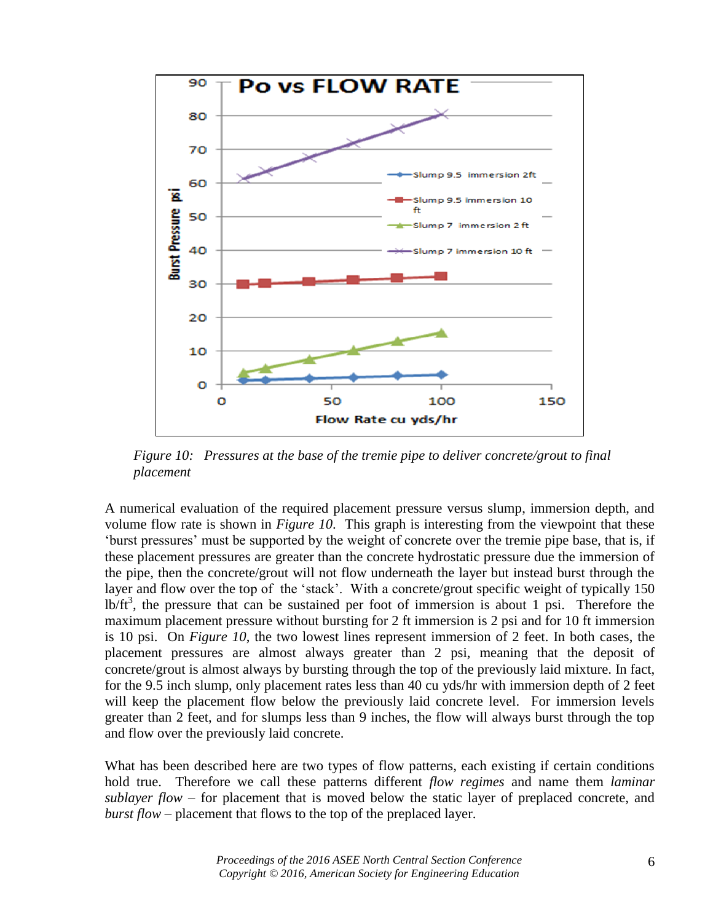

*Figure 10: Pressures at the base of the tremie pipe to deliver concrete/grout to final placement*

A numerical evaluation of the required placement pressure versus slump, immersion depth, and volume flow rate is shown in *Figure 10*. This graph is interesting from the viewpoint that these 'burst pressures' must be supported by the weight of concrete over the tremie pipe base, that is, if these placement pressures are greater than the concrete hydrostatic pressure due the immersion of the pipe, then the concrete/grout will not flow underneath the layer but instead burst through the layer and flow over the top of the 'stack'. With a concrete/grout specific weight of typically 150  $lb/ft<sup>3</sup>$ , the pressure that can be sustained per foot of immersion is about 1 psi. Therefore the maximum placement pressure without bursting for 2 ft immersion is 2 psi and for 10 ft immersion is 10 psi. On *Figure 10*, the two lowest lines represent immersion of 2 feet. In both cases, the placement pressures are almost always greater than 2 psi, meaning that the deposit of concrete/grout is almost always by bursting through the top of the previously laid mixture. In fact, for the 9.5 inch slump, only placement rates less than 40 cu yds/hr with immersion depth of 2 feet will keep the placement flow below the previously laid concrete level. For immersion levels greater than 2 feet, and for slumps less than 9 inches, the flow will always burst through the top and flow over the previously laid concrete.

What has been described here are two types of flow patterns, each existing if certain conditions hold true. Therefore we call these patterns different *flow regimes* and name them *laminar sublayer flow* – for placement that is moved below the static layer of preplaced concrete, and *burst flow* – placement that flows to the top of the preplaced layer.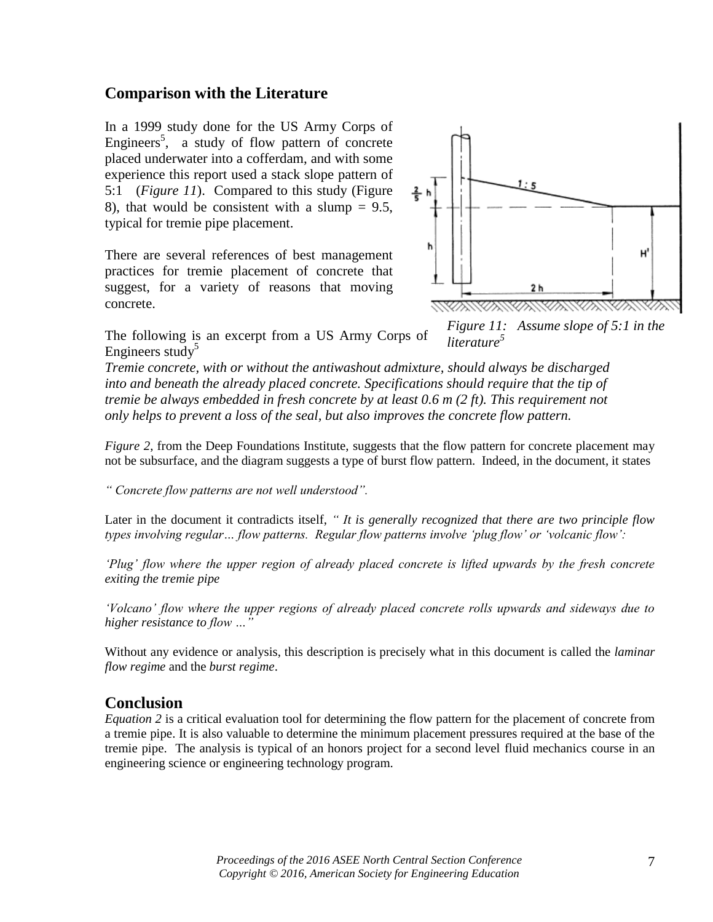### **Comparison with the Literature**

In a 1999 study done for the US Army Corps of Engineers<sup>5</sup>, a study of flow pattern of concrete placed underwater into a cofferdam, and with some experience this report used a stack slope pattern of 5:1 (*Figure 11*). Compared to this study (Figure 8), that would be consistent with a slump  $= 9.5$ , typical for tremie pipe placement.

There are several references of best management practices for tremie placement of concrete that suggest, for a variety of reasons that moving concrete.



*Figure 11: Assume slope of 5:1 in the literature<sup>5</sup>*

The following is an excerpt from a US Army Corps of Engineers study<sup>5</sup>

*Tremie concrete, with or without the antiwashout admixture, should always be discharged into and beneath the already placed concrete. Specifications should require that the tip of tremie be always embedded in fresh concrete by at least 0.6 m (2 ft). This requirement not only helps to prevent a loss of the seal, but also improves the concrete flow pattern.*

*Figure 2*, from the Deep Foundations Institute, suggests that the flow pattern for concrete placement may not be subsurface, and the diagram suggests a type of burst flow pattern. Indeed, in the document, it states

*" Concrete flow patterns are not well understood".* 

Later in the document it contradicts itself, *" It is generally recognized that there are two principle flow types involving regular… flow patterns. Regular flow patterns involve 'plug flow' or 'volcanic flow':*

*'Plug' flow where the upper region of already placed concrete is lifted upwards by the fresh concrete exiting the tremie pipe*

*'Volcano' flow where the upper regions of already placed concrete rolls upwards and sideways due to higher resistance to flow …"*

Without any evidence or analysis, this description is precisely what in this document is called the *laminar flow regime* and the *burst regime*.

#### **Conclusion**

*Equation 2* is a critical evaluation tool for determining the flow pattern for the placement of concrete from a tremie pipe. It is also valuable to determine the minimum placement pressures required at the base of the tremie pipe. The analysis is typical of an honors project for a second level fluid mechanics course in an engineering science or engineering technology program.